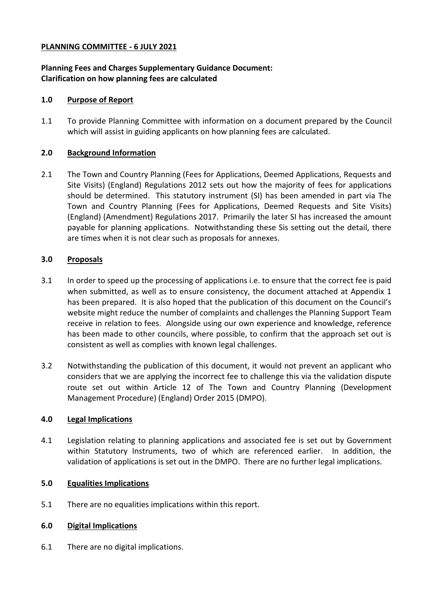### **PLANNING COMMITTEE - 6 JULY 2021**

## **Planning Fees and Charges Supplementary Guidance Document: Clarification on how planning fees are calculated**

### **1.0 Purpose of Report**

1.1 To provide Planning Committee with information on a document prepared by the Council which will assist in guiding applicants on how planning fees are calculated.

### **2.0 Background Information**

2.1 The Town and Country Planning (Fees for Applications, Deemed Applications, Requests and Site Visits) (England) Regulations 2012 sets out how the majority of fees for applications should be determined. This statutory instrument (SI) has been amended in part via The Town and Country Planning (Fees for Applications, Deemed Requests and Site Visits) (England) (Amendment) Regulations 2017. Primarily the later SI has increased the amount payable for planning applications. Notwithstanding these Sis setting out the detail, there are times when it is not clear such as proposals for annexes.

# **3.0 Proposals**

- 3.1 In order to speed up the processing of applications i.e. to ensure that the correct fee is paid when submitted, as well as to ensure consistency, the document attached at Appendix 1 has been prepared. It is also hoped that the publication of this document on the Council's website might reduce the number of complaints and challenges the Planning Support Team receive in relation to fees. Alongside using our own experience and knowledge, reference has been made to other councils, where possible, to confirm that the approach set out is consistent as well as complies with known legal challenges.
- 3.2 Notwithstanding the publication of this document, it would not prevent an applicant who considers that we are applying the incorrect fee to challenge this via the validation dispute route set out within Article 12 of The Town and Country Planning (Development Management Procedure) (England) Order 2015 (DMPO).

#### **4.0 Legal Implications**

4.1 Legislation relating to planning applications and associated fee is set out by Government within Statutory Instruments, two of which are referenced earlier. In addition, the validation of applications is set out in the DMPO. There are no further legal implications.

#### **5.0 Equalities Implications**

5.1 There are no equalities implications within this report.

#### **6.0 Digital Implications**

6.1 There are no digital implications.